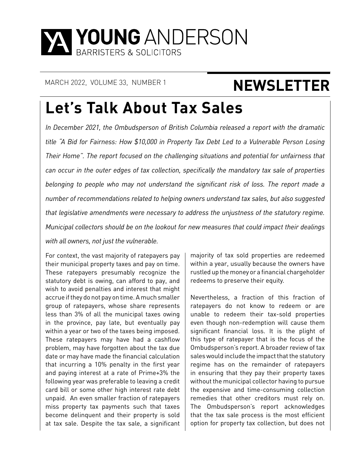

# MARCH 2022, VOLUME 33, NUMBER 1 **NEWSLETTER**

# **Let's Talk About Tax Sales**

*In December 2021, the Ombudsperson of British Columbia released a report with the dramatic title "A Bid for Fairness: How \$10,000 in Property Tax Debt Led to a Vulnerable Person Losing Their Home". The report focused on the challenging situations and potential for unfairness that can occur in the outer edges of tax collection, specifically the mandatory tax sale of properties belonging to people who may not understand the significant risk of loss. The report made a number of recommendations related to helping owners understand tax sales, but also suggested that legislative amendments were necessary to address the unjustness of the statutory regime. Municipal collectors should be on the lookout for new measures that could impact their dealings with all owners, not just the vulnerable.*

For context, the vast majority of ratepayers pay their municipal property taxes and pay on time. These ratepayers presumably recognize the statutory debt is owing, can afford to pay, and wish to avoid penalties and interest that might accrue if they do not pay on time. A much smaller group of ratepayers, whose share represents less than 3% of all the municipal taxes owing in the province, pay late, but eventually pay within a year or two of the taxes being imposed. These ratepayers may have had a cashflow problem, may have forgotten about the tax due date or may have made the financial calculation that incurring a 10% penalty in the first year and paying interest at a rate of Prime+3% the following year was preferable to leaving a credit card bill or some other high interest rate debt unpaid. An even smaller fraction of ratepayers miss property tax payments such that taxes become delinquent and their property is sold at tax sale. Despite the tax sale, a significant

majority of tax sold properties are redeemed within a year, usually because the owners have rustled up the money or a financial chargeholder redeems to preserve their equity.

Nevertheless, a fraction of this fraction of ratepayers do not know to redeem or are unable to redeem their tax-sold properties even though non-redemption will cause them significant financial loss. It is the plight of this type of ratepayer that is the focus of the Ombudsperson's report. A broader review of tax sales would include the impact that the statutory regime has on the remainder of ratepayers in ensuring that they pay their property taxes without the municipal collector having to pursue the expensive and time-consuming collection remedies that other creditors must rely on. The Ombudsperson's report acknowledges that the tax sale process is the most efficient option for property tax collection, but does not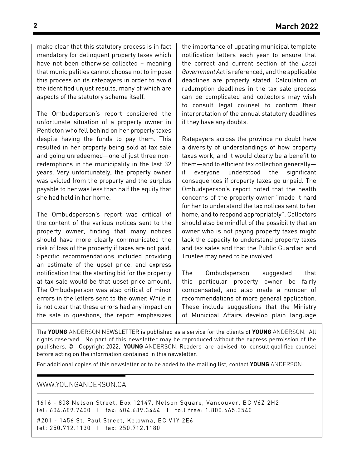make clear that this statutory process is in fact mandatory for delinquent property taxes which have not been otherwise collected – meaning that municipalities cannot choose not to impose this process on its ratepayers in order to avoid the identified unjust results, many of which are aspects of the statutory scheme itself.

The Ombudsperson's report considered the unfortunate situation of a property owner in Penticton who fell behind on her property taxes despite having the funds to pay them. This resulted in her property being sold at tax sale and going unredeemed—one of just three nonredemptions in the municipality in the last 32 years. Very unfortunately, the property owner was evicted from the property and the surplus payable to her was less than half the equity that she had held in her home.

The Ombudsperson's report was critical of the content of the various notices sent to the property owner, finding that many notices should have more clearly communicated the risk of loss of the property if taxes are not paid. Specific recommendations included providing an estimate of the upset price, and express notification that the starting bid for the property at tax sale would be that upset price amount. The Ombudsperson was also critical of minor errors in the letters sent to the owner. While it is not clear that these errors had any impact on the sale in questions, the report emphasizes

the importance of updating municipal template notification letters each year to ensure that the correct and current section of the *Local Government Ac*t is referenced, and the applicable deadlines are properly stated. Calculation of redemption deadlines in the tax sale process can be complicated and collectors may wish to consult legal counsel to confirm their interpretation of the annual statutory deadlines if they have any doubts.

Ratepayers across the province no doubt have a diversity of understandings of how property taxes work, and it would clearly be a benefit to them—and to efficient tax collection generally if everyone understood the significant consequences if property taxes go unpaid. The Ombudsperson's report noted that the health concerns of the property owner "made it hard for her to understand the tax notices sent to her home, and to respond appropriately". Collectors should also be mindful of the possibility that an owner who is not paying property taxes might lack the capacity to understand property taxes and tax sales and that the Public Guardian and Trustee may need to be involved.

The Ombudsperson suggested that this particular property owner be fairly compensated, and also made a number of recommendations of more general application. These include suggestions that the Ministry of Municipal Affairs develop plain language

The **YOUNG** ANDERSON NEWSLETTER is published as a service for the clients of **YOUNG** ANDERSON. All rights reserved. No part of this newsletter may be reproduced without the express permission of the publishers. © Copyright 2022, **YOUNG** ANDERSON. Readers are advised to consult qualified counsel before acting on the information contained in this newsletter.

For additional copies of this newsletter or to be added to the mailing list, contact **YOUNG** ANDERSON:

#### WWW.YOUNGANDERSON.CA

1616 - 808 Nelson Street, Box 12147, Nelson Square, Vancouver, BC V6Z 2H2 tel: 604.689.7400 I fax: 604.689.3444 I toll free: 1.800.665.3540

#201 - 1456 St. Paul Street, Kelowna, BC V1Y 2E6 tel: 250.712.1130 I fax: 250.712.1180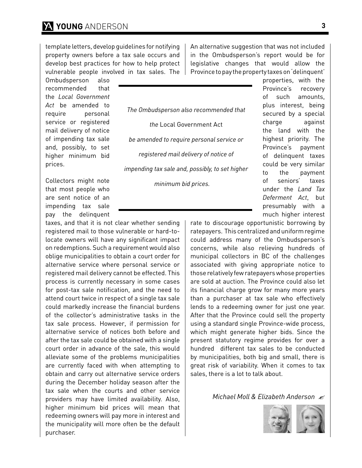template letters, develop guidelines for notifying property owners before a tax sale occurs and develop best practices for how to help protect vulnerable people involved in tax sales. The

Ombudsperson also recommended that the *Local Government Act* be amended to require personal service or registered mail delivery of notice of impending tax sale and, possibly, to set higher minimum bid prices.

Collectors might note that most people who are sent notice of an impending tax sale pay the delinquent

taxes, and that it is not clear whether sending registered mail to those vulnerable or hard-tolocate owners will have any significant impact on redemptions. Such a requirement would also oblige municipalities to obtain a court order for alternative service where personal service or registered mail delivery cannot be effected. This process is currently necessary in some cases for post-tax sale notification, and the need to attend court twice in respect of a single tax sale could markedly increase the financial burdens of the collector's administrative tasks in the tax sale process. However, if permission for alternative service of notices both before and after the tax sale could be obtained with a single court order in advance of the sale, this would alleviate some of the problems municipalities are currently faced with when attempting to obtain and carry out alternative service orders during the December holiday season after the tax sale when the courts and other service providers may have limited availability. Also, higher minimum bid prices will mean that redeeming owners will pay more in interest and the municipality will more often be the default purchaser.

An alternative suggestion that was not included in the Ombudsperson's report would be for legislative changes that would allow the Province to pay the property taxes on 'delinquent'

*The Ombudsperson also recommended that* 

*the* Local Government Act *be amended to require personal service or registered mail delivery of notice of* 

*impending tax sale and, possibly, to set higher* 

*minimum bid prices.* 

properties, with the Province's recovery of such amounts, plus interest, being secured by a special charge against the land with the highest priority. The Province's payment of delinquent taxes could be very similar to the payment of seniors' taxes under the *Land Tax Deferment Act*, but presumably with a much higher interest

rate to discourage opportunistic borrowing by ratepayers. This centralized and uniform regime could address many of the Ombudsperson's concerns, while also relieving hundreds of municipal collectors in BC of the challenges associated with giving appropriate notice to those relatively few ratepayers whose properties are sold at auction. The Province could also let its financial charge grow for many more years than a purchaser at tax sale who effectively lends to a redeeming owner for just one year. After that the Province could sell the property using a standard single Province-wide process, which might generate higher bids. Since the present statutory regime provides for over a hundred different tax sales to be conducted by municipalities, both big and small, there is great risk of variability. When it comes to tax sales, there is a lot to talk about.

*Michael Moll & Elizabeth Anderson*

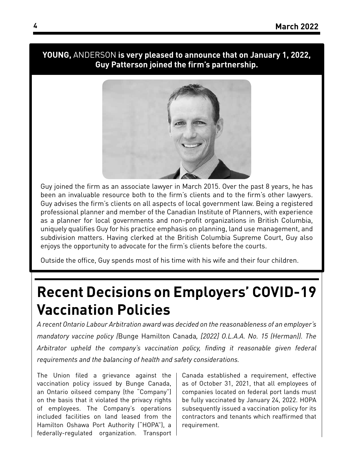### **YOUNG,** ANDERSON **is very pleased to announce that on January 1, 2022, Guy Patterson joined the firm's partnership.**



Guy joined the firm as an associate lawyer in March 2015. Over the past 8 years, he has been an invaluable resource both to the firm's clients and to the firm's other lawyers. Guy advises the firm's clients on all aspects of local government law. Being a registered professional planner and member of the Canadian Institute of Planners, with experience as a planner for local governments and non-profit organizations in British Columbia, uniquely qualifies Guy for his practice emphasis on planning, land use management, and subdivision matters. Having clerked at the British Columbia Supreme Court, Guy also enjoys the opportunity to advocate for the firm's clients before the courts.

Outside the office, Guy spends most of his time with his wife and their four children.

### **Recent Decisions on Employers' COVID-19 Vaccination Policies**

*A recent Ontario Labour Arbitration award was decided on the reasonableness of an employer's mandatory vaccine policy (*Bunge Hamilton Canada*, [2022] O.L.A.A. No. 15 (Herman)). The Arbitrator upheld the company's vaccination policy, finding it reasonable given federal requirements and the balancing of health and safety considerations.*

The Union filed a grievance against the vaccination policy issued by Bunge Canada, an Ontario oilseed company (the "Company") on the basis that it violated the privacy rights of employees. The Company's operations included facilities on land leased from the Hamilton Oshawa Port Authority ("HOPA"), a federally-regulated organization. Transport Canada established a requirement, effective as of October 31, 2021, that all employees of companies located on federal port lands must be fully vaccinated by January 24, 2022. HOPA subsequently issued a vaccination policy for its contractors and tenants which reaffirmed that requirement.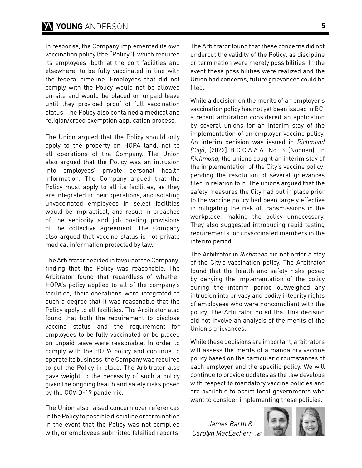In response, the Company implemented its own vaccination policy (the "Policy"), which required its employees, both at the port facilities and elsewhere, to be fully vaccinated in line with the federal timeline. Employees that did not comply with the Policy would not be allowed on-site and would be placed on unpaid leave until they provided proof of full vaccination status. The Policy also contained a medical and religion/creed exemption application process.

The Union argued that the Policy should only apply to the property on HOPA land, not to all operations of the Company. The Union also argued that the Policy was an intrusion into employees' private personal health information. The Company argued that the Policy must apply to all its facilities, as they are integrated in their operations, and isolating unvaccinated employees in select facilities would be impractical, and result in breaches of the seniority and job posting provisions of the collective agreement. The Company also argued that vaccine status is not private medical information protected by law.

The Arbitrator decided in favour of the Company, finding that the Policy was reasonable. The Arbitrator found that regardless of whether HOPA's policy applied to all of the company's facilities, their operations were integrated to such a degree that it was reasonable that the Policy apply to all facilities. The Arbitrator also found that both the requirement to disclose vaccine status and the requirement for employees to be fully vaccinated or be placed on unpaid leave were reasonable. In order to comply with the HOPA policy and continue to operate its business, the Company was required to put the Policy in place. The Arbitrator also gave weight to the necessity of such a policy given the ongoing health and safety risks posed by the COVID-19 pandemic.

The Union also raised concern over references in the Policy to possible discipline or termination in the event that the Policy was not complied with, or employees submitted falsified reports.

The Arbitrator found that these concerns did not undercut the validity of the Policy, as discipline or termination were merely possibilities. In the event these possibilities were realized and the Union had concerns, future grievances could be filed.

While a decision on the merits of an employer's vaccination policy has not yet been issued in BC, a recent arbitration considered an application by several unions for an interim stay of the implementation of an employer vaccine policy. An interim decision was issued in *Richmond (City)*, [2022] B.C.C.A.A.A. No. 3 (Noonan). In *Richmond*, the unions sought an interim stay of the implementation of the City's vaccine policy, pending the resolution of several grievances filed in relation to it. The unions argued that the safety measures the City had put in place prior to the vaccine policy had been largely effective in mitigating the risk of transmissions in the workplace, making the policy unnecessary. They also suggested introducing rapid testing requirements for unvaccinated members in the interim period.

The Arbitrator in *Richmond* did not order a stay of the City's vaccination policy. The Arbitrator found that the health and safety risks posed by denying the implementation of the policy during the interim period outweighed any intrusion into privacy and bodily integrity rights of employees who were noncompliant with the policy. The Arbitrator noted that this decision did not involve an analysis of the merits of the Union's grievances.

While these decisions are important, arbitrators will assess the merits of a mandatory vaccine policy based on the particular circumstances of each employer and the specific policy. We will continue to provide updates as the law develops with respect to mandatory vaccine policies and are available to assist local governments who want to consider implementing these policies.

*James Barth & Carolyn MacEachern*

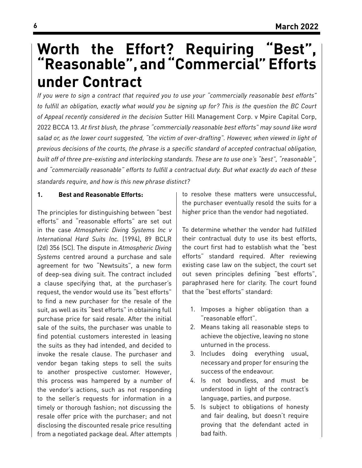### **Worth the Effort? Requiring "Best", "Reasonable", and "Commercial" Efforts under Contract**

*If you were to sign a contract that required you to use your "commercially reasonable best efforts" to fulfill an obligation, exactly what would you be signing up for? This is the question the BC Court of Appeal recently considered in the decision* Sutter Hill Management Corp. v Mpire Capital Corp, 2022 BCCA 13*. At first blush, the phrase "commercially reasonable best efforts" may sound like word salad or, as the lower court suggested, "the victim of over-drafting". However, when viewed in light of previous decisions of the courts, the phrase is a specific standard of accepted contractual obligation, built off of three pre-existing and interlocking standards. These are to use one's "best", "reasonable", and "commercially reasonable" efforts to fulfill a contractual duty. But what exactly do each of these standards require, and how is this new phrase distinct?*

### **1. Best and Reasonable Efforts:**

The principles for distinguishing between "best efforts" and "reasonable efforts" are set out in the case *Atmospheric Diving Systems Inc v International Hard Suits Inc.* (1994), 89 BCLR (2d) 356 (SC). The dispute in *Atmospheric Diving Systems* centred around a purchase and sale agreement for two "Newtsuits", a new form of deep-sea diving suit. The contract included a clause specifying that, at the purchaser's request, the vendor would use its "best efforts" to find a new purchaser for the resale of the suit, as well as its "best efforts" in obtaining full purchase price for said resale. After the initial sale of the suits, the purchaser was unable to find potential customers interested in leasing the suits as they had intended, and decided to invoke the resale clause. The purchaser and vendor began taking steps to sell the suits to another prospective customer. However, this process was hampered by a number of the vendor's actions, such as not responding to the seller's requests for information in a timely or thorough fashion; not discussing the resale offer price with the purchaser; and not disclosing the discounted resale price resulting from a negotiated package deal. After attempts to resolve these matters were unsuccessful, the purchaser eventually resold the suits for a higher price than the vendor had negotiated.

To determine whether the vendor had fulfilled their contractual duty to use its best efforts, the court first had to establish what the "best efforts" standard required. After reviewing existing case law on the subject, the court set out seven principles defining "best efforts", paraphrased here for clarity. The court found that the "best efforts" standard:

- 1. Imposes a higher obligation than a "reasonable effort".
- 2. Means taking all reasonable steps to achieve the objective, leaving no stone unturned in the process.
- 3. Includes doing everything usual, necessary and proper for ensuring the success of the endeavour.
- 4. Is not boundless, and must be understood in light of the contract's language, parties, and purpose.
- 5. Is subject to obligations of honesty and fair dealing, but doesn't require proving that the defendant acted in bad faith.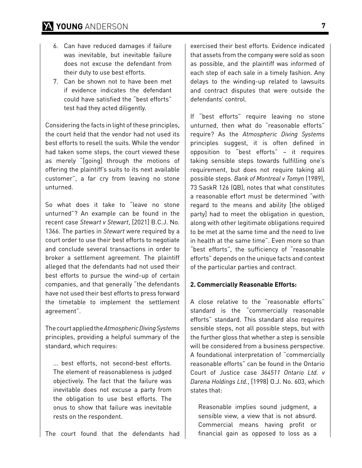- 6. Can have reduced damages if failure was inevitable, but inevitable failure does not excuse the defendant from their duty to use best efforts.
- 7. Can be shown not to have been met if evidence indicates the defendant could have satisfied the "best efforts" test had they acted diligently.

Considering the facts in light of these principles, the court held that the vendor had not used its best efforts to resell the suits. While the vendor had taken some steps, the court viewed these as merely "[going] through the motions of offering the plaintiff's suits to its next available customer", a far cry from leaving no stone unturned.

So what does it take to "leave no stone unturned"? An example can be found in the recent case *Stewart v Stewart*, [2021] B.C.J. No. 1366. The parties in *Stewart* were required by a court order to use their best efforts to negotiate and conclude several transactions in order to broker a settlement agreement. The plaintiff alleged that the defendants had not used their best efforts to pursue the wind-up of certain companies, and that generally "the defendants have not used their best efforts to press forward the timetable to implement the settlement agreement".

The court applied the *Atmospheric Diving Systems* principles, providing a helpful summary of the standard, which requires:

… best efforts, not second-best efforts. The element of reasonableness is judged objectively. The fact that the failure was inevitable does not excuse a party from the obligation to use best efforts. The onus to show that failure was inevitable rests on the respondent.

The court found that the defendants had

exercised their best efforts. Evidence indicated that assets from the company were sold as soon as possible, and the plaintiff was informed of each step of each sale in a timely fashion. Any delays to the winding-up related to lawsuits and contract disputes that were outside the defendants' control.

If "best efforts" require leaving no stone unturned, then what do "reasonable efforts" require? As the *Atmospheric Diving Systems* principles suggest, it is often defined in opposition to "best efforts" – it requires taking sensible steps towards fulfilling one's requirement, but does not require taking all possible steps. *Bank of Montreal v Tomyn* (1989), 73 SaskR 126 (QB), notes that what constitutes a reasonable effort must be determined "with regard to the means and ability [the obliged party] had to meet the obligation in question, along with other legitimate obligations required to be met at the same time and the need to live in health at the same time". Even more so than "best efforts", the sufficiency of "reasonable efforts" depends on the unique facts and context of the particular parties and contract.

#### **2. Commercially Reasonable Efforts:**

A close relative to the "reasonable efforts" standard is the "commercially reasonable efforts" standard. This standard also requires sensible steps, not all possible steps, but with the further gloss that whether a step is sensible will be considered from a business perspective. A foundational interpretation of "commercially reasonable efforts" can be found in the Ontario Court of Justice case *364511 Ontario Ltd. v Darena Holdings Ltd.*, [1998] O.J. No. 603, which states that:

Reasonable implies sound judgment, a sensible view, a view that is not absurd. Commercial means having profit or financial gain as opposed to loss as a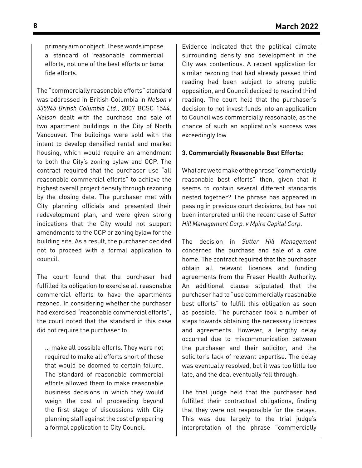primary aim or object. These words impose a standard of reasonable commercial efforts, not one of the best efforts or bona fide efforts.

The "commercially reasonable efforts" standard was addressed in British Columbia in *Nelson v 535945 British Columbia Ltd.*, 2007 BCSC 1544. *Nelson* dealt with the purchase and sale of two apartment buildings in the City of North Vancouver. The buildings were sold with the intent to develop densified rental and market housing, which would require an amendment to both the City's zoning bylaw and OCP. The contract required that the purchaser use "all reasonable commercial efforts" to achieve the highest overall project density through rezoning by the closing date. The purchaser met with City planning officials and presented their redevelopment plan, and were given strong indications that the City would not support amendments to the OCP or zoning bylaw for the building site. As a result, the purchaser decided not to proceed with a formal application to council.

The court found that the purchaser had fulfilled its obligation to exercise all reasonable commercial efforts to have the apartments rezoned. In considering whether the purchaser had exercised "reasonable commercial efforts", the court noted that the standard in this case did not require the purchaser to:

… make all possible efforts. They were not required to make all efforts short of those that would be doomed to certain failure. The standard of reasonable commercial efforts allowed them to make reasonable business decisions in which they would weigh the cost of proceeding beyond the first stage of discussions with City planning staff against the cost of preparing a formal application to City Council.

Evidence indicated that the political climate surrounding density and development in the City was contentious. A recent application for similar rezoning that had already passed third reading had been subject to strong public opposition, and Council decided to rescind third reading. The court held that the purchaser's decision to not invest funds into an application to Council was commercially reasonable, as the chance of such an application's success was exceedingly low.

#### **3. Commercially Reasonable Best Efforts:**

What are we to make of the phrase "commercially reasonable best efforts" then, given that it seems to contain several different standards nested together? The phrase has appeared in passing in previous court decisions, but has not been interpreted until the recent case of *Sutter Hill Management Corp. v Mpire Capital Corp*.

The decision in *Sutter Hill Management*  concerned the purchase and sale of a care home. The contract required that the purchaser obtain all relevant licences and funding agreements from the Fraser Health Authority. An additional clause stipulated that the purchaser had to "use commercially reasonable best efforts" to fulfill this obligation as soon as possible. The purchaser took a number of steps towards obtaining the necessary licences and agreements. However, a lengthy delay occurred due to miscommunication between the purchaser and their solicitor, and the solicitor's lack of relevant expertise. The delay was eventually resolved, but it was too little too late, and the deal eventually fell through.

The trial judge held that the purchaser had fulfilled their contractual obligations, finding that they were not responsible for the delays. This was due largely to the trial judge's interpretation of the phrase "commercially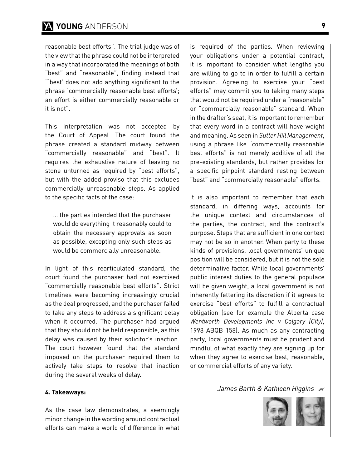### **YOUNG** ANDERSON **9**

reasonable best efforts". The trial judge was of the view that the phrase could not be interpreted in a way that incorporated the meanings of both "best" and "reasonable", finding instead that "'best' does not add anything significant to the phrase 'commercially reasonable best efforts'; an effort is either commercially reasonable or it is not".

This interpretation was not accepted by the Court of Appeal. The court found the phrase created a standard midway between "commercially reasonable" and "best". It requires the exhaustive nature of leaving no stone unturned as required by "best efforts", but with the added proviso that this excludes commercially unreasonable steps. As applied to the specific facts of the case:

… the parties intended that the purchaser would do everything it reasonably could to obtain the necessary approvals as soon as possible, excepting only such steps as would be commercially unreasonable.

In light of this rearticulated standard, the court found the purchaser had not exercised "commercially reasonable best efforts". Strict timelines were becoming increasingly crucial as the deal progressed, and the purchaser failed to take any steps to address a significant delay when it occurred. The purchaser had argued that they should not be held responsible, as this delay was caused by their solicitor's inaction. The court however found that the standard imposed on the purchaser required them to actively take steps to resolve that inaction during the several weeks of delay.

#### **4. Takeaways:**

As the case law demonstrates, a seemingly minor change in the wording around contractual efforts can make a world of difference in what

is required of the parties. When reviewing your obligations under a potential contract, it is important to consider what lengths you are willing to go to in order to fulfill a certain provision. Agreeing to exercise your "best efforts" may commit you to taking many steps that would not be required under a "reasonable" or "commercially reasonable" standard. When in the drafter's seat, it is important to remember that every word in a contract will have weight and meaning. As seen in *Sutter Hill Management*, using a phrase like "commercially reasonable best efforts" is not merely additive of all the pre-existing standards, but rather provides for a specific pinpoint standard resting between "best" and "commercially reasonable" efforts.

It is also important to remember that each standard, in differing ways, accounts for the unique context and circumstances of the parties, the contract, and the contract's purpose. Steps that are sufficient in one context may not be so in another. When party to these kinds of provisions, local governments' unique position will be considered, but it is not the sole determinative factor. While local governments' public interest duties to the general populace will be given weight, a local government is not inherently fettering its discretion if it agrees to exercise "best efforts" to fulfill a contractual obligation (see for example the Alberta case *Wentworth Developments Inc v Calgary (City)*, 1998 ABQB 158). As much as any contracting party, local governments must be prudent and mindful of what exactly they are signing up for when they agree to exercise best, reasonable, or commercial efforts of any variety.

#### *James Barth & Kathleen Higgins*

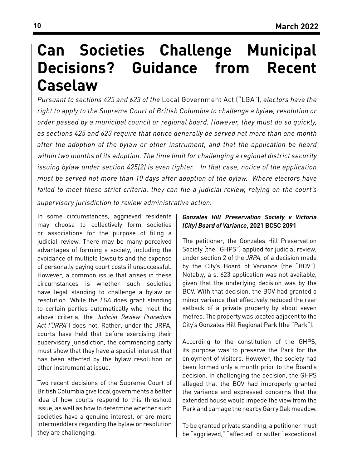### **Can Societies Challenge Municipal Decisions? Guidance from Recent Caselaw**

*Pursuant to sections 425 and 623 of the* Local Government Act ("LGA")*, electors have the right to apply to the Supreme Court of British Columbia to challenge a bylaw, resolution or order passed by a municipal council or regional board. However, they must do so quickly, as sections 425 and 623 require that notice generally be served not more than one month after the adoption of the bylaw or other instrument, and that the application be heard within two months of its adoption. The time limit for challenging a regional district security issuing bylaw under section 425(2) is even tighter. In that case, notice of the application must be served not more than 10 days after adoption of the bylaw. Where electors have failed to meet these strict criteria, they can file a judicial review, relying on the court's* 

*supervisory jurisdiction to review administrative action.*

In some circumstances, aggrieved residents may choose to collectively form societies or associations for the purpose of filing a judicial review. There may be many perceived advantages of forming a society, including the avoidance of multiple lawsuits and the expense of personally paying court costs if unsuccessful. However, a common issue that arises in these circumstances is whether such societies have legal standing to challenge a bylaw or resolution. While the *LGA* does grant standing to certain parties automatically who meet the above criteria, the *Judicial Review Procedure Act ("JRPA"*) does not. Rather, under the JRPA, courts have held that before exercising their supervisory jurisdiction, the commencing party must show that they have a special interest that has been affected by the bylaw resolution or other instrument at issue.

Two recent decisions of the Supreme Court of British Columbia give local governments a better idea of how courts respond to this threshold issue, as well as how to determine whether such societies have a genuine interest, or are mere intermeddlers regarding the bylaw or resolution they are challenging.

#### *Gonzales Hill Preservation Society v Victoria (City) Board of Variance***, 2021 BCSC 2091**

The petitioner, the Gonzales Hill Preservation Society (the "GHPS") applied for judicial review, under section 2 of the *JRPA*, of a decision made by the City's Board of Variance (the "BOV"). Notably, a s. 623 application was not available, given that the underlying decision was by the BOV. With that decision, the BOV had granted a minor variance that effectively reduced the rear setback of a private property by about seven metres. The property was located adjacent to the City's Gonzales Hill Regional Park (the "Park").

According to the constitution of the GHPS, its purpose was to preserve the Park for the enjoyment of visitors. However, the society had been formed only a month prior to the Board's decision. In challenging the decision, the GHPS alleged that the BOV had improperly granted the variance and expressed concerns that the extended house would impede the view from the Park and damage the nearby Garry Oak meadow.

To be granted private standing, a petitioner must be "aggrieved," "affected" or suffer "exceptional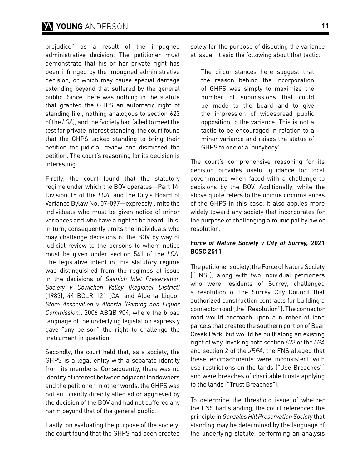### **YOUNG** ANDERSON **11**

prejudice" as a result of the impugned administrative decision. The petitioner must demonstrate that his or her private right has been infringed by the impugned administrative decision, or which may cause special damage extending beyond that suffered by the general public. Since there was nothing in the statute that granted the GHPS an automatic right of standing (i.e., nothing analogous to section 623 of the *LGA*), and the Society had failed to meet the test for private interest standing, the court found that the GHPS lacked standing to bring their petition for judicial review and dismissed the petition. The court's reasoning for its decision is interesting.

Firstly, the court found that the statutory regime under which the BOV operates—Part 14, Division 15 of the *LGA*, and the City's Board of Variance Bylaw No. 07-097—expressly limits the individuals who must be given notice of minor variances and who have a right to be heard. This, in turn, consequently limits the individuals who may challenge decisions of the BOV by way of judicial review to the persons to whom notice must be given under section 541 of the *LGA*. The legislative intent in this statutory regime was distinguished from the regimes at issue in the decisions of *Saanich Inlet Preservation Society v Cowichan Valley (Regional District)*  (1983), 44 BCLR 121 (CA) and Alberta Liquor *Store Association v Alberta (Gaming and Liquor Commission*), 2006 ABQB 904, where the broad language of the underlying legislation expressly gave "any person" the right to challenge the instrument in question.

Secondly, the court held that, as a society, the GHPS is a legal entity with a separate identity from its members. Consequently, there was no identity of interest between adjacent landowners and the petitioner. In other words, the GHPS was not sufficiently directly affected or aggrieved by the decision of the BOV and had not suffered any harm beyond that of the general public.

Lastly, on evaluating the purpose of the society, the court found that the GHPS had been created solely for the purpose of disputing the variance at issue. It said the following about that tactic:

The circumstances here suggest that the reason behind the incorporation of GHPS was simply to maximize the number of submissions that could be made to the board and to give the impression of widespread public opposition to the variance. This is not a tactic to be encouraged in relation to a minor variance and raises the status of GHPS to one of a 'busybody'.

The court's comprehensive reasoning for its decision provides useful guidance for local governments when faced with a challenge to decisions by the BOV. Additionally, while the above quote refers to the unique circumstances of the GHPS in this case, it also applies more widely toward any society that incorporates for the purpose of challenging a municipal bylaw or resolution.

#### *Force of Nature Society v City of Surrey,* **2021 BCSC 2511**

The petitioner society, the Force of Nature Society ("FNS"), along with two individual petitioners who were residents of Surrey, challenged a resolution of the Surrey City Council that authorized construction contracts for building a connector road (the "Resolution"). The connector road would encroach upon a number of land parcels that created the southern portion of Bear Creek Park, but would be built along an existing right of way. Invoking both section 623 of the *LGA*  and section 2 of the *JRPA*, the FNS alleged that these encroachments were inconsistent with use restrictions on the lands ("Use Breaches") and were breaches of charitable trusts applying to the lands ("Trust Breaches").

To determine the threshold issue of whether the FNS had standing, the court referenced the principle in *Gonzales Hill Preservation Society* that standing may be determined by the language of the underlying statute, performing an analysis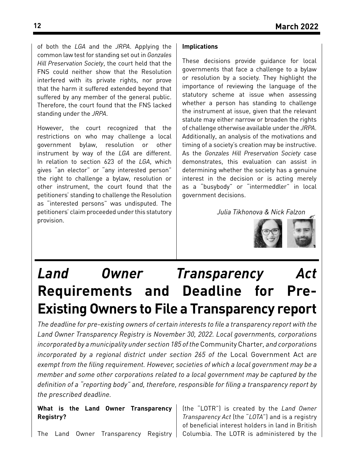of both the *LGA* and the *JRPA*. Applying the common law test for standing set out in *Gonzales Hill Preservation Society*, the court held that the FNS could neither show that the Resolution interfered with its private rights, nor prove that the harm it suffered extended beyond that suffered by any member of the general public. Therefore, the court found that the FNS lacked standing under the *JRPA*.

However, the court recognized that the restrictions on who may challenge a local government bylaw, resolution or other instrument by way of the *LGA* are different. In relation to section 623 of the *LGA*, which gives "an elector" or "any interested person" the right to challenge a bylaw, resolution or other instrument, the court found that the petitioners' standing to challenge the Resolution as "interested persons" was undisputed. The petitioners' claim proceeded under this statutory provision.

#### **Implications**

These decisions provide guidance for local governments that face a challenge to a bylaw or resolution by a society. They highlight the importance of reviewing the language of the statutory scheme at issue when assessing whether a person has standing to challenge the instrument at issue, given that the relevant statute may either narrow or broaden the rights of challenge otherwise available under the *JRPA*. Additionally, an analysis of the motivations and timing of a society's creation may be instructive. As the *Gonzales Hill Preservation Society* case demonstrates, this evaluation can assist in determining whether the society has a genuine interest in the decision or is acting merely as a "busybody" or "intermeddler" in local government decisions.

*Julia Tikhonova & Nick Falzon*



## *Land Owner Transparency Act*  **Requirements and Deadline for Pre-Existing Owners to File a Transparency report**

*The deadline for pre-existing owners of certain interests to file a transparency report with the Land Owner Transparency Registry is November 30, 2022. Local governments, corporations incorporated by a municipality under section 185 of the* Community Charter*, and corporations incorporated by a regional district under section 265 of the* Local Government Act *are exempt from the filing requirement. However, societies of which a local government may be a member and some other corporations related to a local government may be captured by the definition of a "reporting body" and, therefore, responsible for filing a transparency report by the prescribed deadline.*

**What is the Land Owner Transparency Registry?**

(the "LOTR") is created by the *Land Owner Transparency Act* (the "*LOTA*") and is a registry of beneficial interest holders in land in British Columbia. The LOTR is administered by the

The Land Owner Transparency Registry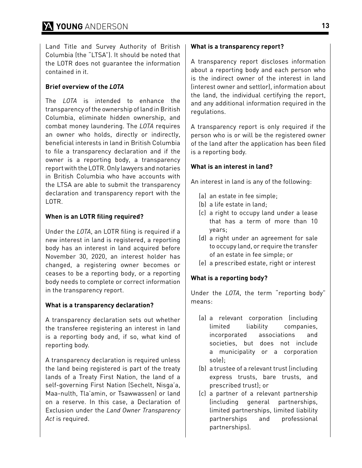Land Title and Survey Authority of British Columbia (the "LTSA"). It should be noted that the LOTR does not guarantee the information contained in it.

#### **Brief overview of the** *LOTA*

The *LOTA* is intended to enhance the transparency of the ownership of land in British Columbia, eliminate hidden ownership, and combat money laundering. The *LOTA* requires an owner who holds, directly or indirectly, beneficial interests in land in British Columbia to file a transparency declaration and if the owner is a reporting body, a transparency report with the LOTR. Only lawyers and notaries in British Columbia who have accounts with the LTSA are able to submit the transparency declaration and transparency report with the LOTR.

#### **When is an LOTR filing required?**

Under the *LOTA*, an LOTR filing is required if a new interest in land is registered, a reporting body has an interest in land acquired before November 30, 2020, an interest holder has changed, a registering owner becomes or ceases to be a reporting body, or a reporting body needs to complete or correct information in the transparency report.

#### **What is a transparency declaration?**

A transparency declaration sets out whether the transferee registering an interest in land is a reporting body and, if so, what kind of reporting body.

A transparency declaration is required unless the land being registered is part of the treaty lands of a Treaty First Nation, the land of a self-governing First Nation (Sechelt, Nisga'a, Maa-nulth, Tla'amin, or Tsawwassen) or land on a reserve. In this case, a Declaration of Exclusion under the *Land Owner Transparency Act* is required.

#### **What is a transparency report?**

A transparency report discloses information about a reporting body and each person who is the indirect owner of the interest in land (interest owner and settlor), information about the land, the individual certifying the report, and any additional information required in the regulations.

A transparency report is only required if the person who is or will be the registered owner of the land after the application has been filed is a reporting body.

#### **What is an interest in land?**

An interest in land is any of the following:

- (a) an estate in fee simple;
- (b) a life estate in land;
- (c) a right to occupy land under a lease that has a term of more than 10 years;
- (d) a right under an agreement for sale to occupy land, or require the transfer of an estate in fee simple; or
- (e) a prescribed estate, right or interest

#### **What is a reporting body?**

Under the *LOTA*, the term "reporting body" means:

- (a) a relevant corporation (including limited liability companies, incorporated associations and societies, but does not include a municipality or a corporation sole);
- (b) a trustee of a relevant trust (including express trusts, bare trusts, and prescribed trust); or
- (c) a partner of a relevant partnership (including general partnerships, limited partnerships, limited liability partnerships and professional partnerships).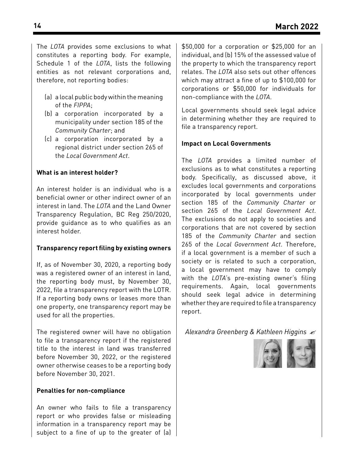The *LOTA* provides some exclusions to what constitutes a reporting body. For example, Schedule 1 of the *LOTA*, lists the following entities as not relevant corporations and, therefore, not reporting bodies:

- (a) a local public body within the meaning of the *FIPPA*;
- (b) a corporation incorporated by a municipality under section 185 of the *Community Charter*; and
- (c) a corporation incorporated by a regional district under section 265 of the *Local Government Act*.

#### **What is an interest holder?**

An interest holder is an individual who is a beneficial owner or other indirect owner of an interest in land. The *LOTA* and the Land Owner Transparency Regulation, BC Reg 250/2020, provide guidance as to who qualifies as an interest holder.

#### **Transparency report filing by existing owners**

If, as of November 30, 2020, a reporting body was a registered owner of an interest in land, the reporting body must, by November 30, 2022, file a transparency report with the LOTR. If a reporting body owns or leases more than one property, one transparency report may be used for all the properties.

The registered owner will have no obligation to file a transparency report if the registered title to the interest in land was transferred before November 30, 2022, or the registered owner otherwise ceases to be a reporting body before November 30, 2021.

#### **Penalties for non-compliance**

An owner who fails to file a transparency report or who provides false or misleading information in a transparency report may be subject to a fine of up to the greater of (a)

\$50,000 for a corporation or \$25,000 for an individual, and (b) 15% of the assessed value of the property to which the transparency report relates. The *LOTA* also sets out other offences which may attract a fine of up to \$100,000 for corporations or \$50,000 for individuals for non-compliance with the *LOTA*.

Local governments should seek legal advice in determining whether they are required to file a transparency report.

#### **Impact on Local Governments**

The *LOTA* provides a limited number of exclusions as to what constitutes a reporting body. Specifically, as discussed above, it excludes local governments and corporations incorporated by local governments under section 185 of the *Community Charter* or section 265 of the *Local Government Act*. The exclusions do not apply to societies and corporations that are not covered by section 185 of the *Community Charter* and section 265 of the *Local Government Act*. Therefore, if a local government is a member of such a society or is related to such a corporation, a local government may have to comply with the *LOTA*'s pre-existing owner's filing requirements. Again, local governments should seek legal advice in determining whether they are required to file a transparency report.

*Alexandra Greenberg & Kathleen Higgins*

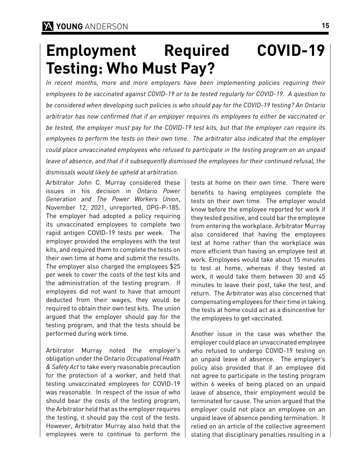# **Employment Required COVID-19 Testing: Who Must Pay?**

*In recent months, more and more employers have been implementing policies requiring their employees to be vaccinated against COVID-19 or to be tested regularly for COVID-19. A question to be considered when developing such policies is who should pay for the COVID-19 testing? An Ontario arbitrator has now confirmed that if an employer requires its employees to either be vaccinated or be tested, the employer must pay for the COVID-19 test kits, but that the employer can require its employees to perform the tests on their own time. The arbitrator also indicated that the employer could place unvaccinated employees who refused to participate in the testing program on an unpaid leave of absence, and that if it subsequently dismissed the employees for their continued refusal, the dismissals would likely be upheld at arbitration.*

Arbitrator John C. Murray considered these issues in his decision in *Ontario Power Generation and The Power Workers Union*, November 12, 2021, unreported, OPG-P-185. The employer had adopted a policy requiring its unvaccinated employees to complete two rapid antigen COVID-19 tests per week. The employer provided the employees with the test kits, and required them to complete the tests on their own time at home and submit the results. The employer also charged the employees \$25 per week to cover the costs of the test kits and the administration of the testing program. If employees did not want to have that amount deducted from their wages, they would be required to obtain their own test kits. The union argued that the employer should pay for the testing program, and that the tests should be performed during work time.

Arbitrator Murray noted the employer's obligation under the Ontario *Occupational Health & Safety Act* to take every reasonable precaution for the protection of a worker, and held that testing unvaccinated employees for COVID-19 was reasonable. In respect of the issue of who should bear the costs of the testing program, the Arbitrator held that as the employer requires the testing, it should pay the cost of the tests. However, Arbitrator Murray also held that the employees were to continue to perform the

tests at home on their own time. There were benefits to having employees complete the tests on their own time. The employer would know before the employee reported for work if they tested positive, and could bar the employee from entering the workplace. Arbitrator Murray also considered that having the employees test at home rather than the workplace was more efficient than having an employee test at work. Employees would take about 15 minutes to test at home, whereas if they tested at work, it would take them between 30 and 45 minutes to leave their post, take the test, and return. The Arbitrator was also concerned that compensating employees for their time in taking the tests at home could act as a disincentive for the employees to get vaccinated.

Another issue in the case was whether the employer could place an unvaccinated employee who refused to undergo COVID-19 testing on an unpaid leave of absence. The employer's policy also provided that if an employee did not agree to participate in the testing program within 6 weeks of being placed on an unpaid leave of absence, their employment would be terminated for cause. The union argued that the employer could not place an employee on an unpaid leave of absence pending termination. It relied on an article of the collective agreement stating that disciplinary penalties resulting in a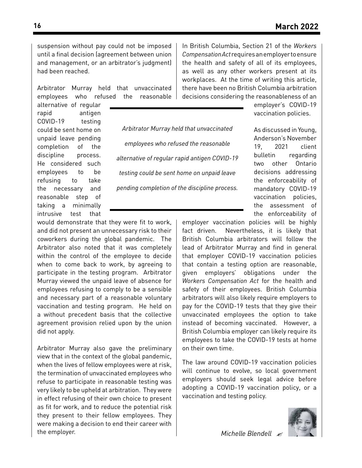suspension without pay could not be imposed until a final decision (agreement between union and management, or an arbitrator's judgment) had been reached.

Arbitrator Murray held that unvaccinated employees who refused the reasonable In British Columbia, Section 21 of the *Workers Compensation Act* requires an employer to ensure the health and safety of all of its employees, as well as any other workers present at its workplaces. At the time of writing this article, there have been no British Columbia arbitration decisions considering the reasonableness of an

alternative of regular rapid antigen COVID-19 testing could be sent home on unpaid leave pending completion of the discipline process. He considered such employees to be refusing to take the necessary and reasonable step of taking a minimally intrusive test that

*Arbitrator Murray held that unvaccinated employees who refused the reasonable alternative of regular rapid antigen COVID-19 testing could be sent home on unpaid leave pending completion of the discipline process.* 

would demonstrate that they were fit to work, and did not present an unnecessary risk to their coworkers during the global pandemic. The Arbitrator also noted that it was completely within the control of the employee to decide when to come back to work, by agreeing to participate in the testing program. Arbitrator Murray viewed the unpaid leave of absence for employees refusing to comply to be a sensible and necessary part of a reasonable voluntary vaccination and testing program. He held on a without precedent basis that the collective agreement provision relied upon by the union did not apply.

Arbitrator Murray also gave the preliminary view that in the context of the global pandemic, when the lives of fellow employees were at risk, the termination of unvaccinated employees who refuse to participate in reasonable testing was very likely to be upheld at arbitration. They were in effect refusing of their own choice to present as fit for work, and to reduce the potential risk they present to their fellow employees. They were making a decision to end their career with the employer.

employer's COVID-19 vaccination policies.

As discussed in Young, Anderson's November 19, 2021 client bulletin regarding two other Ontario decisions addressing the enforceability of mandatory COVID-19 vaccination policies, the assessment of the enforceability of

employer vaccination policies will be highly fact driven. Nevertheless, it is likely that British Columbia arbitrators will follow the lead of Arbitrator Murray and find in general that employer COVID-19 vaccination policies that contain a testing option are reasonable, given employers' obligations under the *Workers Compensation Act* for the health and safety of their employees. British Columbia arbitrators will also likely require employers to pay for the COVID-19 tests that they give their unvaccinated employees the option to take instead of becoming vaccinated. However, a British Columbia employer can likely require its employees to take the COVID-19 tests at home on their own time.

The law around COVID-19 vaccination policies will continue to evolve, so local government employers should seek legal advice before adopting a COVID-19 vaccination policy, or a vaccination and testing policy.

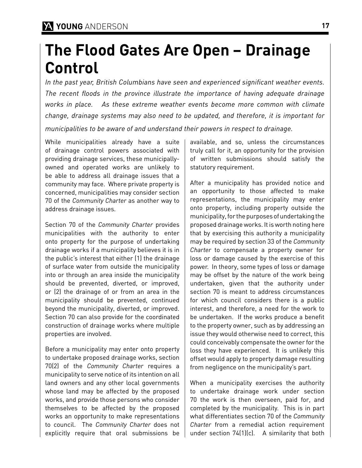### **The Flood Gates Are Open – Drainage Control**

*In the past year, British Columbians have seen and experienced significant weather events. The recent floods in the province illustrate the importance of having adequate drainage works in place. As these extreme weather events become more common with climate change, drainage systems may also need to be updated, and therefore, it is important for municipalities to be aware of and understand their powers in respect to drainage.*

While municipalities already have a suite of drainage control powers associated with providing drainage services, these municipallyowned and operated works are unlikely to be able to address all drainage issues that a community may face. Where private property is concerned, municipalities may consider section 70 of the *Community Charter* as another way to address drainage issues.

Section 70 of the *Community Charter* provides municipalities with the authority to enter onto property for the purpose of undertaking drainage works if a municipality believes it is in the public's interest that either (1) the drainage of surface water from outside the municipality into or through an area inside the municipality should be prevented, diverted, or improved, or (2) the drainage of or from an area in the municipality should be prevented, continued beyond the municipality, diverted, or improved. Section 70 can also provide for the coordinated construction of drainage works where multiple properties are involved.

Before a municipality may enter onto property to undertake proposed drainage works, section 70(2) of the *Community Charter* requires a municipality to serve notice of its intention on all land owners and any other local governments whose land may be affected by the proposed works, and provide those persons who consider themselves to be affected by the proposed works an opportunity to make representations to council. The *Community Charter* does not explicitly require that oral submissions be

available, and so, unless the circumstances truly call for it, an opportunity for the provision of written submissions should satisfy the statutory requirement.

After a municipality has provided notice and an opportunity to those affected to make representations, the municipality may enter onto property, including property outside the municipality, for the purposes of undertaking the proposed drainage works. It is worth noting here that by exercising this authority a municipality may be required by section 33 of the *Community Charter* to compensate a property owner for loss or damage caused by the exercise of this power. In theory, some types of loss or damage may be offset by the nature of the work being undertaken, given that the authority under section 70 is meant to address circumstances for which council considers there is a public interest, and therefore, a need for the work to be undertaken. If the works produce a benefit to the property owner, such as by addressing an issue they would otherwise need to correct, this could conceivably compensate the owner for the loss they have experienced. It is unlikely this offset would apply to property damage resulting from negligence on the municipality's part.

When a municipality exercises the authority to undertake drainage work under section 70 the work is then overseen, paid for, and completed by the municipality. This is in part what differentiates section 70 of the *Community Charter* from a remedial action requirement under section 74(1)(c). A similarity that both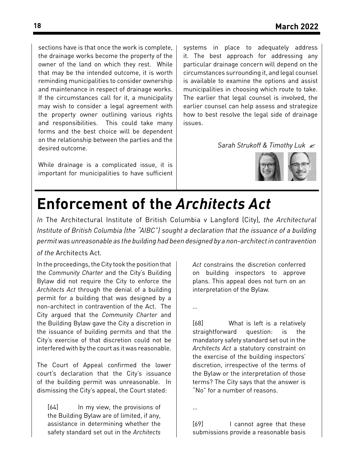sections have is that once the work is complete, the drainage works become the property of the owner of the land on which they rest. While that may be the intended outcome, it is worth reminding municipalities to consider ownership and maintenance in respect of drainage works. If the circumstances call for it, a municipality may wish to consider a legal agreement with the property owner outlining various rights and responsibilities. This could take many forms and the best choice will be dependent on the relationship between the parties and the desired outcome.

While drainage is a complicated issue, it is important for municipalities to have sufficient systems in place to adequately address it. The best approach for addressing any particular drainage concern will depend on the circumstances surrounding it, and legal counsel is available to examine the options and assist municipalities in choosing which route to take. The earlier that legal counsel is involved, the earlier counsel can help assess and strategize how to best resolve the legal side of drainage issues.

*Sarah Strukoff & Timothy Luk*



### **Enforcement of the** *Architects Act*

*In* The Architectural Institute of British Columbia v Langford (City)*, the Architectural Institute of British Columbia (the "AIBC") sought a declaration that the issuance of a building permit was unreasonable as the building had been designed by a non-architect in contravention* 

#### *of the* Architects Act*.*

In the proceedings, the City took the position that the *Community Charter* and the City's Building Bylaw did not require the City to enforce the *Architects Act* through the denial of a building permit for a building that was designed by a non-architect in contravention of the Act. The City argued that the *Community Charter* and the Building Bylaw gave the City a discretion in the issuance of building permits and that the City's exercise of that discretion could not be interfered with by the court as it was reasonable.

The Court of Appeal confirmed the lower court's declaration that the City's issuance of the building permit was unreasonable. In dismissing the City's appeal, the Court stated:

[64] In my view, the provisions of the Building Bylaw are of limited, if any, assistance in determining whether the safety standard set out in the *Architects*  *Act* constrains the discretion conferred on building inspectors to approve plans. This appeal does not turn on an interpretation of the Bylaw.

…

[68] What is left is a relatively straightforward question: is the mandatory safety standard set out in the *Architects Act* a statutory constraint on the exercise of the building inspectors' discretion, irrespective of the terms of the Bylaw or the interpretation of those terms? The City says that the answer is "No" for a number of reasons.

…

[69] I cannot agree that these submissions provide a reasonable basis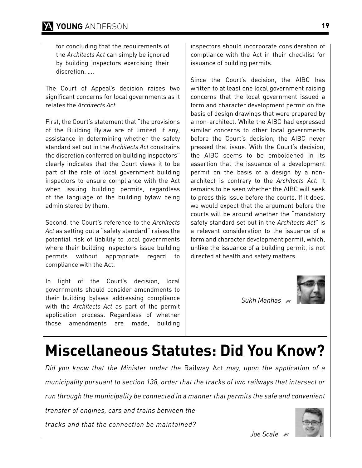for concluding that the requirements of the *Architects Act* can simply be ignored by building inspectors exercising their discretion. ….

The Court of Appeal's decision raises two significant concerns for local governments as it relates the *Architects Act*.

First, the Court's statement that "the provisions of the Building Bylaw are of limited, if any, assistance in determining whether the safety standard set out in the *Architects Act* constrains the discretion conferred on building inspectors" clearly indicates that the Court views it to be part of the role of local government building inspectors to ensure compliance with the Act when issuing building permits, regardless of the language of the building bylaw being administered by them.

Second, the Court's reference to the *Architects Act* as setting out a "safety standard" raises the potential risk of liability to local governments where their building inspectors issue building permits without appropriate regard to compliance with the Act.

In light of the Court's decision, local governments should consider amendments to their building bylaws addressing compliance with the *Architects Act* as part of the permit application process. Regardless of whether those amendments are made, building

inspectors should incorporate consideration of compliance with the Act in their checklist for issuance of building permits.

Since the Court's decision, the AIBC has written to at least one local government raising concerns that the local government issued a form and character development permit on the basis of design drawings that were prepared by a non-architect. While the AIBC had expressed similar concerns to other local governments before the Court's decision, the AIBC never pressed that issue. With the Court's decision, the AIBC seems to be emboldened in its assertion that the issuance of a development permit on the basis of a design by a nonarchitect is contrary to the *Architects Act*. It remains to be seen whether the AIBC will seek to press this issue before the courts. If it does, we would expect that the argument before the courts will be around whether the "mandatory safety standard set out in the *Architects Act*" is a relevant consideration to the issuance of a form and character development permit, which, unlike the issuance of a building permit, is not directed at health and safety matters.

*Sukh Manhas*

# **Miscellaneous Statutes: Did You Know?**

*Did you know that the Minister under the* Railway Act *may, upon the application of a municipality pursuant to section 138, order that the tracks of two railways that intersect or run through the municipality be connected in a manner that permits the safe and convenient* 

*transfer of engines, cars and trains between the* 

*tracks and that the connection be maintained?*